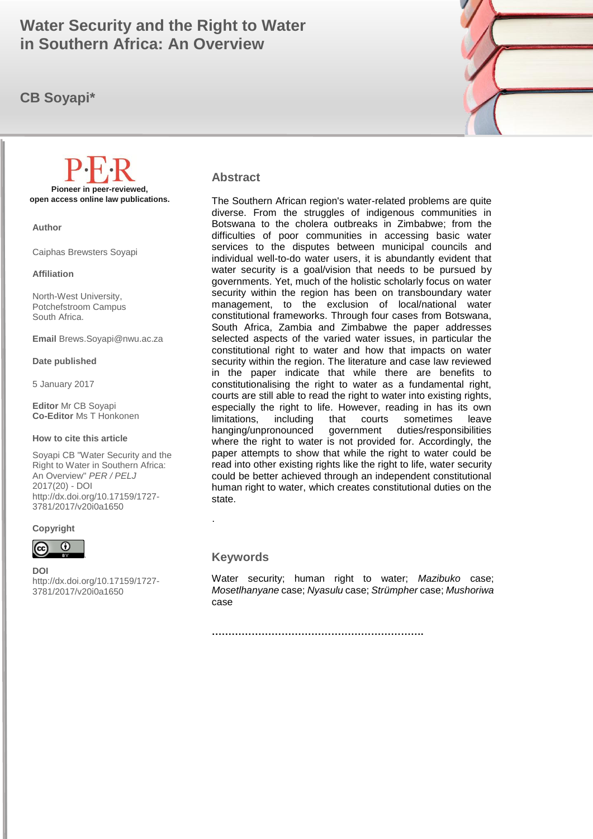# **in Southern Africa: An Overview All 2016 (19) 1 April 2016 (19) 1 April 2016 (19) 1 April 2016 (19) 1 April 2016 Water Security and the Right to Water**

# **CB Soyapi\***



#### **Abstract**

The Southern African region's water-related problems are quite diverse. From the struggles of indigenous communities in Botswana to the cholera outbreaks in Zimbabwe; from the difficulties of poor communities in accessing basic water services to the disputes between municipal councils and individual well-to-do water users, it is abundantly evident that water security is a goal/vision that needs to be pursued by governments. Yet, much of the holistic scholarly focus on water security within the region has been on transboundary water management, to the exclusion of local/national water constitutional frameworks. Through four cases from Botswana, South Africa, Zambia and Zimbabwe the paper addresses selected aspects of the varied water issues, in particular the constitutional right to water and how that impacts on water security within the region. The literature and case law reviewed in the paper indicate that while there are benefits to constitutionalising the right to water as a fundamental right, courts are still able to read the right to water into existing rights, especially the right to life. However, reading in has its own limitations, including that courts sometimes leave hanging/unpronounced government duties/responsibilities where the right to water is not provided for. Accordingly, the paper attempts to show that while the right to water could be read into other existing rights like the right to life, water security could be better achieved through an independent constitutional human right to water, which creates constitutional duties on the state.

#### **Keywords**

.

Water security; human right to water; *Mazibuko* case; *Mosetlhanyane* case; *Nyasulu* case; *Strümpher* case; *Mushoriwa* case

**……………………………………………………….**

**Pioneer in peer-reviewed, open access online law publications.**

**Author**

Caiphas Brewsters Soyapi

**Affiliation**

North-West University, Potchefstroom Campus South Africa.

**Email** Brews.Soyapi@nwu.ac.za

**Date published**

5 January 2017

**Editor** Mr CB Soyapi **Co-Editor** Ms T Honkonen

#### **How to cite this article**

Soyapi CB "Water Security and the Right to Water in Southern Africa: An Overview" *PER / PELJ* 2017(20) - DOI http://dx.doi.org/10.17159/1727- 3781/2017/v20i0a[1650](http://journals.assaf.org.za/index.php/per/editor/submission/1160) 





**DOI**  http://dx.doi.org/10.17159/1727- 3781/2017/v20i0a[1650](http://journals.assaf.org.za/index.php/per/editor/submission/1160)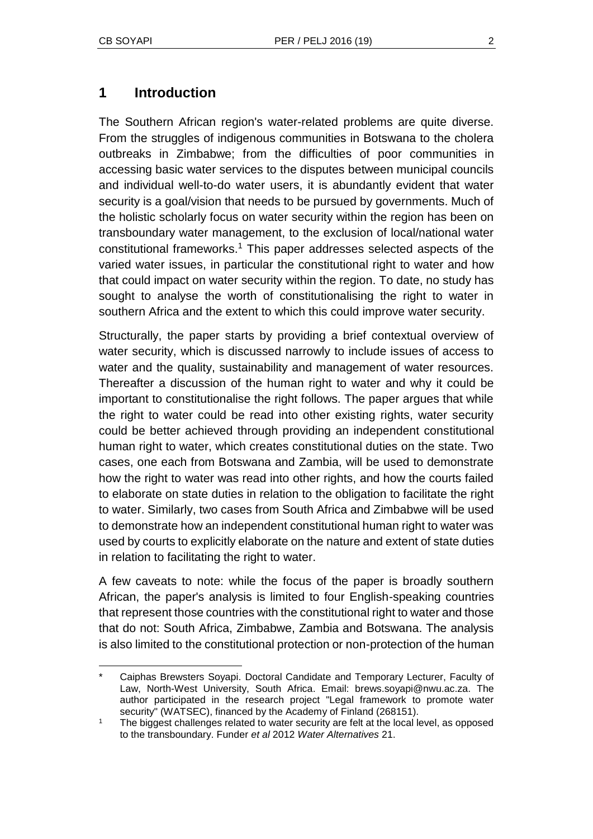l

# **1 Introduction**

The Southern African region's water-related problems are quite diverse. From the struggles of indigenous communities in Botswana to the cholera outbreaks in Zimbabwe; from the difficulties of poor communities in accessing basic water services to the disputes between municipal councils and individual well-to-do water users, it is abundantly evident that water security is a goal/vision that needs to be pursued by governments. Much of the holistic scholarly focus on water security within the region has been on transboundary water management, to the exclusion of local/national water constitutional frameworks.<sup>1</sup> This paper addresses selected aspects of the varied water issues, in particular the constitutional right to water and how that could impact on water security within the region. To date, no study has sought to analyse the worth of constitutionalising the right to water in southern Africa and the extent to which this could improve water security.

Structurally, the paper starts by providing a brief contextual overview of water security, which is discussed narrowly to include issues of access to water and the quality, sustainability and management of water resources. Thereafter a discussion of the human right to water and why it could be important to constitutionalise the right follows. The paper argues that while the right to water could be read into other existing rights, water security could be better achieved through providing an independent constitutional human right to water, which creates constitutional duties on the state. Two cases, one each from Botswana and Zambia, will be used to demonstrate how the right to water was read into other rights, and how the courts failed to elaborate on state duties in relation to the obligation to facilitate the right to water. Similarly, two cases from South Africa and Zimbabwe will be used to demonstrate how an independent constitutional human right to water was used by courts to explicitly elaborate on the nature and extent of state duties in relation to facilitating the right to water.

A few caveats to note: while the focus of the paper is broadly southern African, the paper's analysis is limited to four English-speaking countries that represent those countries with the constitutional right to water and those that do not: South Africa, Zimbabwe, Zambia and Botswana. The analysis is also limited to the constitutional protection or non-protection of the human

Caiphas Brewsters Soyapi. Doctoral Candidate and Temporary Lecturer, Faculty of Law, North-West University, South Africa. Email: brews.soyapi@nwu.ac.za. The author participated in the research project "Legal framework to promote water security" (WATSEC), financed by the Academy of Finland (268151).

<sup>1</sup> The biggest challenges related to water security are felt at the local level, as opposed to the transboundary. Funder *et al* 2012 *Water Alternatives* 21.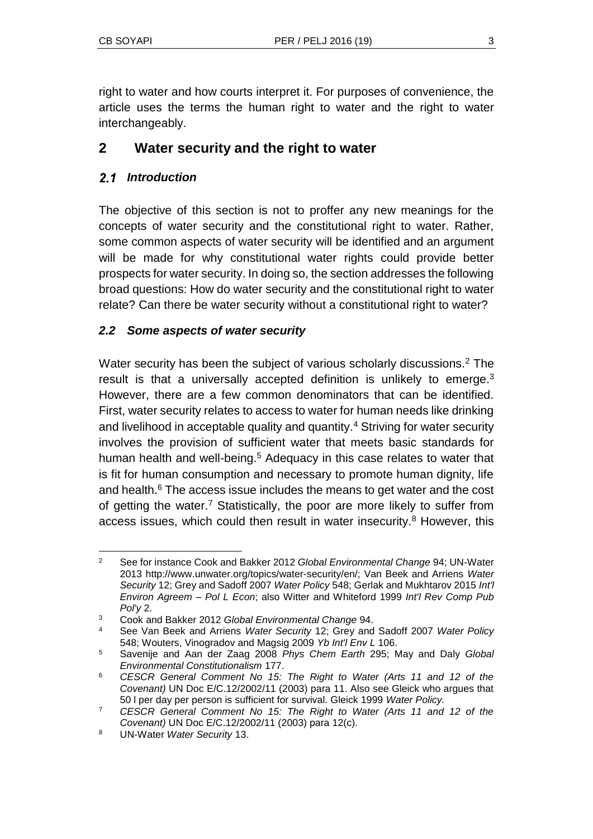right to water and how courts interpret it. For purposes of convenience, the article uses the terms the human right to water and the right to water interchangeably.

# **2 Water security and the right to water**

# *Introduction*

The objective of this section is not to proffer any new meanings for the concepts of water security and the constitutional right to water. Rather, some common aspects of water security will be identified and an argument will be made for why constitutional water rights could provide better prospects for water security. In doing so, the section addresses the following broad questions: How do water security and the constitutional right to water relate? Can there be water security without a constitutional right to water?

### *2.2 Some aspects of water security*

Water security has been the subject of various scholarly discussions.<sup>2</sup> The result is that a universally accepted definition is unlikely to emerge. $3$ However, there are a few common denominators that can be identified. First, water security relates to access to water for human needs like drinking and livelihood in acceptable quality and quantity.<sup>4</sup> Striving for water security involves the provision of sufficient water that meets basic standards for human health and well-being.<sup>5</sup> Adequacy in this case relates to water that is fit for human consumption and necessary to promote human dignity, life and health.<sup>6</sup> The access issue includes the means to get water and the cost of getting the water.<sup>7</sup> Statistically, the poor are more likely to suffer from access issues, which could then result in water insecurity.<sup>8</sup> However, this

l <sup>2</sup> See for instance Cook and Bakker 2012 *Global Environmental Change* 94; UN-Water 2013 http://www.unwater.org/topics/water-security/en/; Van Beek and Arriens *Water Security* 12; Grey and Sadoff 2007 *Water Policy* 548; Gerlak and Mukhtarov 2015 *Int'l Environ Agreem – Pol L Econ*; also Witter and Whiteford 1999 *Int'l Rev Comp Pub Pol'y* 2.

<sup>3</sup> Cook and Bakker 2012 *Global Environmental Change* 94.

<sup>4</sup> See Van Beek and Arriens *Water Security* 12; Grey and Sadoff 2007 *Water Policy* 548; Wouters, Vinogradov and Magsig 2009 *Yb Int'l Env L* 106.

<sup>5</sup> Savenije and Aan der Zaag 2008 *Phys Chem Earth* 295; May and Daly *Global Environmental Constitutionalism* 177.

<sup>6</sup> *CESCR General Comment No 15: The Right to Water (Arts 11 and 12 of the Covenant)* UN Doc E/C.12/2002/11 (2003) para 11. Also see Gleick who argues that 50 l per day per person is sufficient for survival. Gleick 1999 *Water Policy.*

<sup>7</sup> *CESCR General Comment No 15: The Right to Water (Arts 11 and 12 of the Covenant)* UN Doc E/C.12/2002/11 (2003) para 12(c).

<sup>8</sup> UN-Water *Water Security* 13.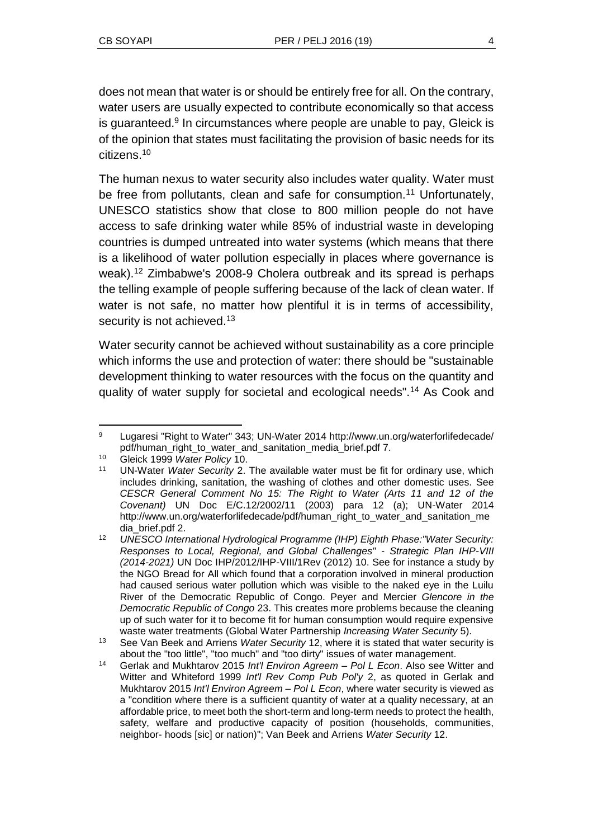does not mean that water is or should be entirely free for all. On the contrary, water users are usually expected to contribute economically so that access is guaranteed.<sup>9</sup> In circumstances where people are unable to pay, Gleick is of the opinion that states must facilitating the provision of basic needs for its citizens.<sup>10</sup>

The human nexus to water security also includes water quality. Water must be free from pollutants, clean and safe for consumption.<sup>11</sup> Unfortunately, UNESCO statistics show that close to 800 million people do not have access to safe drinking water while 85% of industrial waste in developing countries is dumped untreated into water systems (which means that there is a likelihood of water pollution especially in places where governance is weak).<sup>12</sup> Zimbabwe's 2008-9 Cholera outbreak and its spread is perhaps the telling example of people suffering because of the lack of clean water. If water is not safe, no matter how plentiful it is in terms of accessibility, security is not achieved.<sup>13</sup>

Water security cannot be achieved without sustainability as a core principle which informs the use and protection of water: there should be "sustainable development thinking to water resources with the focus on the quantity and quality of water supply for societal and ecological needs".<sup>14</sup> As Cook and

l <sup>9</sup> Lugaresi "Right to Water" 343; UN-Water 2014 http://www.un.org/waterforlifedecade/ pdf/human\_right\_to\_water\_and\_sanitation\_media\_brief.pdf 7.

<sup>10</sup> Gleick 1999 *Water Policy* 10.

<sup>11</sup> UN-Water *Water Security* 2. The available water must be fit for ordinary use, which includes drinking, sanitation, the washing of clothes and other domestic uses. See *CESCR General Comment No 15: The Right to Water (Arts 11 and 12 of the Covenant)* UN Doc E/C.12/2002/11 (2003) para 12 (a); UN-Water 2014 http://www.un.org/waterforlifedecade/pdf/human\_right\_to\_water\_and\_sanitation\_me dia\_brief.pdf 2.

<sup>12</sup> *UNESCO International Hydrological Programme (IHP) Eighth Phase:"Water Security: Responses to Local, Regional, and Global Challenges" - Strategic Plan IHP-VIII (2014-2021)* UN Doc IHP/2012/IHP-VIII/1Rev (2012) 10. See for instance a study by the NGO Bread for All which found that a corporation involved in mineral production had caused serious water pollution which was visible to the naked eye in the Luilu River of the Democratic Republic of Congo. Peyer and Mercier *Glencore in the Democratic Republic of Congo* 23. This creates more problems because the cleaning up of such water for it to become fit for human consumption would require expensive waste water treatments (Global Water Partnership *Increasing Water Security* 5).

<sup>13</sup> See Van Beek and Arriens *Water Security* 12, where it is stated that water security is about the "too little", "too much" and "too dirty" issues of water management.

<sup>14</sup> Gerlak and Mukhtarov 2015 *Int'l Environ Agreem – Pol L Econ*. Also see Witter and Witter and Whiteford 1999 *Int'l Rev Comp Pub Pol'y* 2, as quoted in Gerlak and Mukhtarov 2015 *Int'l Environ Agreem – Pol L Econ*, where water security is viewed as a "condition where there is a sufficient quantity of water at a quality necessary, at an affordable price, to meet both the short-term and long-term needs to protect the health, safety, welfare and productive capacity of position (households, communities, neighbor- hoods [sic] or nation)"; Van Beek and Arriens *Water Security* 12.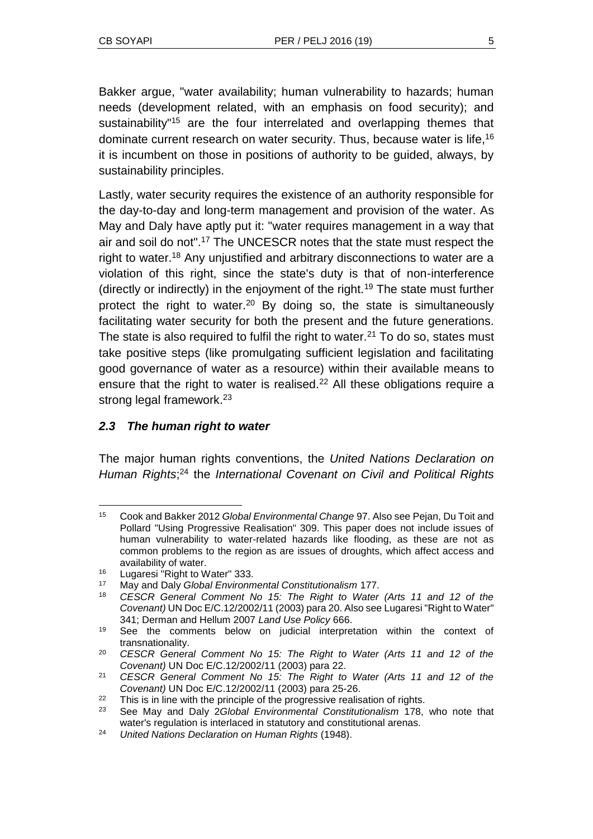Bakker argue, "water availability; human vulnerability to hazards; human needs (development related, with an emphasis on food security); and sustainability"<sup>15</sup> are the four interrelated and overlapping themes that dominate current research on water security. Thus, because water is life,<sup>16</sup> it is incumbent on those in positions of authority to be guided, always, by sustainability principles.

Lastly, water security requires the existence of an authority responsible for the day-to-day and long-term management and provision of the water. As May and Daly have aptly put it: "water requires management in a way that air and soil do not".<sup>17</sup> The UNCESCR notes that the state must respect the right to water.<sup>18</sup> Any unjustified and arbitrary disconnections to water are a violation of this right, since the state's duty is that of non-interference (directly or indirectly) in the enjoyment of the right.<sup>19</sup> The state must further protect the right to water.<sup>20</sup> By doing so, the state is simultaneously facilitating water security for both the present and the future generations. The state is also required to fulfil the right to water.<sup>21</sup> To do so, states must take positive steps (like promulgating sufficient legislation and facilitating good governance of water as a resource) within their available means to ensure that the right to water is realised.<sup>22</sup> All these obligations require a strong legal framework.<sup>23</sup>

# *2.3 The human right to water*

The major human rights conventions, the *United Nations Declaration on Human Rights*; <sup>24</sup> the *International Covenant on Civil and Political Rights*

l <sup>15</sup> Cook and Bakker 2012 *Global Environmental Change* 97. Also see Pejan, Du Toit and Pollard "Using Progressive Realisation" 309. This paper does not include issues of human vulnerability to water-related hazards like flooding, as these are not as common problems to the region as are issues of droughts, which affect access and availability of water.

<sup>&</sup>lt;sup>16</sup> Lugaresi "Right to Water" 333.<br><sup>17</sup> May and Daly Global Environm

<sup>17</sup> May and Daly *Global Environmental Constitutionalism* 177.

<sup>18</sup> *CESCR General Comment No 15: The Right to Water (Arts 11 and 12 of the Covenant)* UN Doc E/C.12/2002/11 (2003) para 20. Also see Lugaresi "Right to Water" 341; Derman and Hellum 2007 *Land Use Policy* 666.

<sup>&</sup>lt;sup>19</sup> See the comments below on judicial interpretation within the context of transnationality.

<sup>20</sup> *CESCR General Comment No 15: The Right to Water (Arts 11 and 12 of the Covenant)* UN Doc E/C.12/2002/11 (2003) para 22.

<sup>21</sup> *CESCR General Comment No 15: The Right to Water (Arts 11 and 12 of the Covenant)* UN Doc E/C.12/2002/11 (2003) para 25-26.

<sup>&</sup>lt;sup>22</sup> This is in line with the principle of the progressive realisation of rights.

<sup>23</sup> See May and Daly 2*Global Environmental Constitutionalism* 178, who note that water's regulation is interlaced in statutory and constitutional arenas.

<sup>24</sup> *United Nations Declaration on Human Rights* (1948).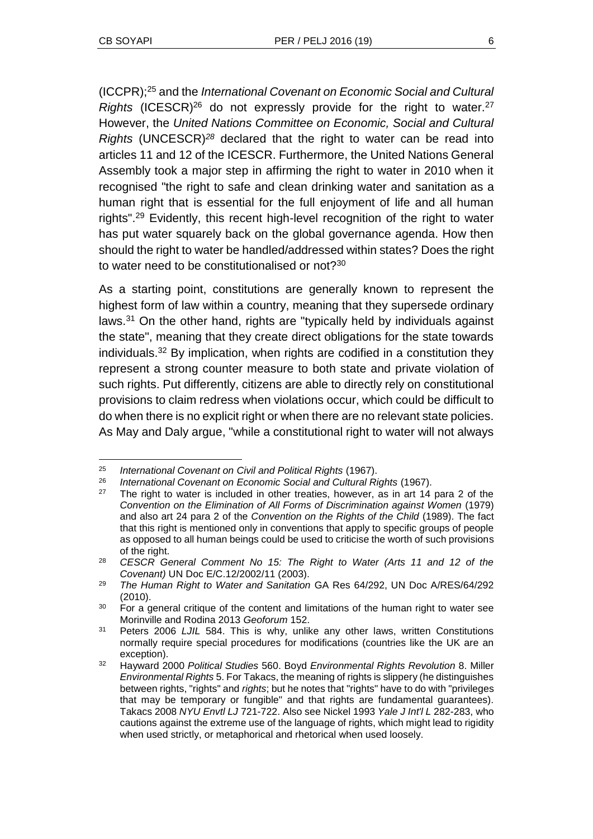l

(ICCPR);<sup>25</sup> and the *International Covenant on Economic Social and Cultural Rights* (ICESCR)<sup>26</sup> do not expressly provide for the right to water.<sup>27</sup> However, the *United Nations Committee on Economic, Social and Cultural Rights* (UNCESCR)*<sup>28</sup>* declared that the right to water can be read into articles 11 and 12 of the ICESCR. Furthermore, the United Nations General Assembly took a major step in affirming the right to water in 2010 when it recognised "the right to safe and clean drinking water and sanitation as a human right that is essential for the full enjoyment of life and all human rights".<sup>29</sup> Evidently, this recent high-level recognition of the right to water has put water squarely back on the global governance agenda. How then should the right to water be handled/addressed within states? Does the right to water need to be constitutionalised or not?<sup>30</sup>

As a starting point, constitutions are generally known to represent the highest form of law within a country, meaning that they supersede ordinary laws.<sup>31</sup> On the other hand, rights are "typically held by individuals against the state", meaning that they create direct obligations for the state towards individuals.<sup>32</sup> By implication, when rights are codified in a constitution they represent a strong counter measure to both state and private violation of such rights. Put differently, citizens are able to directly rely on constitutional provisions to claim redress when violations occur, which could be difficult to do when there is no explicit right or when there are no relevant state policies. As May and Daly argue, "while a constitutional right to water will not always

<sup>25</sup> *International Covenant on Civil and Political Rights* (1967).

<sup>26</sup> *International Covenant on Economic Social and Cultural Rights* (1967).

<sup>&</sup>lt;sup>27</sup> The right to water is included in other treaties, however, as in art 14 para 2 of the *Convention on the Elimination of All Forms of Discrimination against Women* (1979) and also art 24 para 2 of the *Convention on the Rights of the Child* (1989). The fact that this right is mentioned only in conventions that apply to specific groups of people as opposed to all human beings could be used to criticise the worth of such provisions of the right.

<sup>28</sup> *CESCR General Comment No 15: The Right to Water (Arts 11 and 12 of the Covenant)* UN Doc E/C.12/2002/11 (2003).

<sup>29</sup> *The Human Right to Water and Sanitation* GA Res 64/292, UN Doc A/RES/64/292 (2010).

<sup>&</sup>lt;sup>30</sup> For a general critique of the content and limitations of the human right to water see Morinville and Rodina 2013 *Geoforum* 152.

<sup>31</sup> Peters 2006 *LJIL* 584. This is why, unlike any other laws, written Constitutions normally require special procedures for modifications (countries like the UK are an exception).

<sup>32</sup> Hayward 2000 *Political Studies* 560. Boyd *Environmental Rights Revolution* 8. Miller *Environmental Rights* 5. For Takacs, the meaning of rights is slippery (he distinguishes between rights, "rights" and *rights*; but he notes that "rights" have to do with "privileges that may be temporary or fungible" and that rights are fundamental guarantees). Takacs 2008 *NYU Envtl LJ* 721-722. Also see Nickel 1993 *Yale J Int'l L* 282-283, who cautions against the extreme use of the language of rights, which might lead to rigidity when used strictly, or metaphorical and rhetorical when used loosely.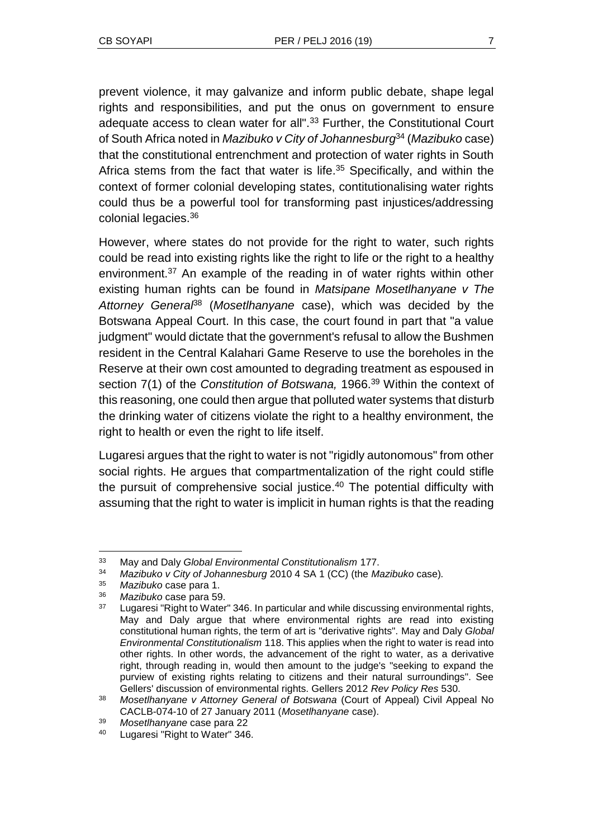prevent violence, it may galvanize and inform public debate, shape legal rights and responsibilities, and put the onus on government to ensure adequate access to clean water for all".<sup>33</sup> Further, the Constitutional Court of South Africa noted in *Mazibuko v City of Johannesburg*<sup>34</sup> (*Mazibuko* case) that the constitutional entrenchment and protection of water rights in South Africa stems from the fact that water is life.<sup>35</sup> Specifically, and within the context of former colonial developing states, contitutionalising water rights could thus be a powerful tool for transforming past injustices/addressing colonial legacies.<sup>36</sup>

However, where states do not provide for the right to water, such rights could be read into existing rights like the right to life or the right to a healthy environment.<sup>37</sup> An example of the reading in of water rights within other existing human rights can be found in *Matsipane Mosetlhanyane v The Attorney General*<sup>38</sup> (*Mosetlhanyane* case), which was decided by the Botswana Appeal Court. In this case, the court found in part that "a value judgment" would dictate that the government's refusal to allow the Bushmen resident in the Central Kalahari Game Reserve to use the boreholes in the Reserve at their own cost amounted to degrading treatment as espoused in section 7(1) of the *Constitution of Botswana,* 1966.<sup>39</sup> Within the context of this reasoning, one could then argue that polluted water systems that disturb the drinking water of citizens violate the right to a healthy environment, the right to health or even the right to life itself.

Lugaresi argues that the right to water is not "rigidly autonomous" from other social rights. He argues that compartmentalization of the right could stifle the pursuit of comprehensive social justice.<sup>40</sup> The potential difficulty with assuming that the right to water is implicit in human rights is that the reading

<sup>33</sup> May and Daly *Global Environmental Constitutionalism* 177.

<sup>34</sup> *Mazibuko v City of Johannesburg* 2010 4 SA 1 (CC) (the *Mazibuko* case)*.*

<sup>35</sup> *Mazibuko* case para 1.

<sup>36</sup> *Mazibuko* case para 59.

<sup>&</sup>lt;sup>37</sup> Lugaresi "Right to Water" 346. In particular and while discussing environmental rights, May and Daly argue that where environmental rights are read into existing constitutional human rights, the term of art is "derivative rights". May and Daly *Global Environmental Constitutionalism* 118. This applies when the right to water is read into other rights. In other words, the advancement of the right to water, as a derivative right, through reading in, would then amount to the judge's "seeking to expand the purview of existing rights relating to citizens and their natural surroundings". See Gellers' discussion of environmental rights. Gellers 2012 *Rev Policy Res* 530.

<sup>38</sup> *Mosetlhanyane v Attorney General of Botswana* (Court of Appeal) Civil Appeal No CACLB-074-10 of 27 January 2011 (*Mosetlhanyane* case).

<sup>39</sup> *Mosetlhanyane* case para 22

<sup>40</sup> Lugaresi "Right to Water" 346.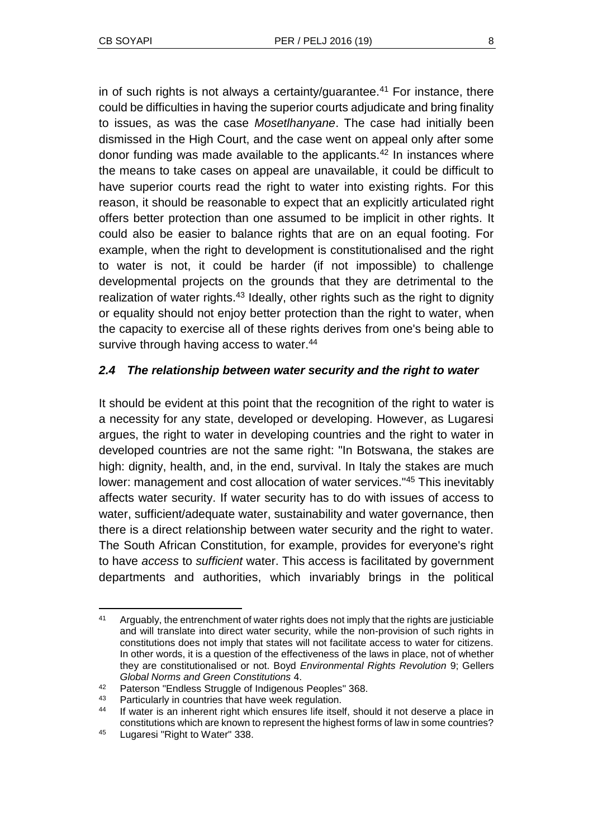in of such rights is not always a certainty/guarantee.<sup>41</sup> For instance, there could be difficulties in having the superior courts adjudicate and bring finality to issues, as was the case *Mosetlhanyane*. The case had initially been dismissed in the High Court, and the case went on appeal only after some donor funding was made available to the applicants.<sup>42</sup> In instances where the means to take cases on appeal are unavailable, it could be difficult to have superior courts read the right to water into existing rights. For this reason, it should be reasonable to expect that an explicitly articulated right offers better protection than one assumed to be implicit in other rights. It could also be easier to balance rights that are on an equal footing. For example, when the right to development is constitutionalised and the right to water is not, it could be harder (if not impossible) to challenge developmental projects on the grounds that they are detrimental to the realization of water rights.<sup>43</sup> Ideally, other rights such as the right to dignity or equality should not enjoy better protection than the right to water, when the capacity to exercise all of these rights derives from one's being able to survive through having access to water.<sup>44</sup>

### *2.4 The relationship between water security and the right to water*

It should be evident at this point that the recognition of the right to water is a necessity for any state, developed or developing. However, as Lugaresi argues, the right to water in developing countries and the right to water in developed countries are not the same right: "In Botswana, the stakes are high: dignity, health, and, in the end, survival. In Italy the stakes are much lower: management and cost allocation of water services."<sup>45</sup> This inevitably affects water security. If water security has to do with issues of access to water, sufficient/adequate water, sustainability and water governance, then there is a direct relationship between water security and the right to water. The South African Constitution, for example, provides for everyone's right to have *access* to *sufficient* water. This access is facilitated by government departments and authorities, which invariably brings in the political

l <sup>41</sup> Arguably, the entrenchment of water rights does not imply that the rights are justiciable and will translate into direct water security, while the non-provision of such rights in constitutions does not imply that states will not facilitate access to water for citizens. In other words, it is a question of the effectiveness of the laws in place, not of whether they are constitutionalised or not. Boyd *Environmental Rights Revolution* 9; Gellers *Global Norms and Green Constitutions* 4.

<sup>42</sup> Paterson "Endless Struggle of Indigenous Peoples" 368.

<sup>43</sup> Particularly in countries that have week regulation.

<sup>44</sup> If water is an inherent right which ensures life itself, should it not deserve a place in constitutions which are known to represent the highest forms of law in some countries?

<sup>45</sup> Lugaresi "Right to Water" 338.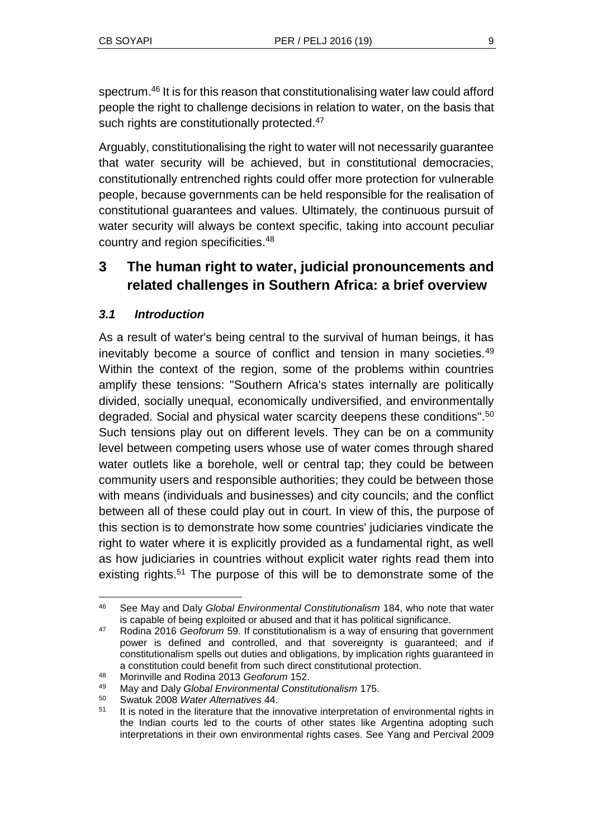spectrum.<sup>46</sup> It is for this reason that constitutionalising water law could afford people the right to challenge decisions in relation to water, on the basis that such rights are constitutionally protected.<sup>47</sup>

Arguably, constitutionalising the right to water will not necessarily guarantee that water security will be achieved, but in constitutional democracies, constitutionally entrenched rights could offer more protection for vulnerable people, because governments can be held responsible for the realisation of constitutional guarantees and values. Ultimately, the continuous pursuit of water security will always be context specific, taking into account peculiar country and region specificities.<sup>48</sup>

# **3 The human right to water, judicial pronouncements and related challenges in Southern Africa: a brief overview**

### *3.1 Introduction*

 $\overline{a}$ 

As a result of water's being central to the survival of human beings, it has inevitably become a source of conflict and tension in many societies.<sup>49</sup> Within the context of the region, some of the problems within countries amplify these tensions: "Southern Africa's states internally are politically divided, socially unequal, economically undiversified, and environmentally degraded. Social and physical water scarcity deepens these conditions".<sup>50</sup> Such tensions play out on different levels. They can be on a community level between competing users whose use of water comes through shared water outlets like a borehole, well or central tap; they could be between community users and responsible authorities; they could be between those with means (individuals and businesses) and city councils; and the conflict between all of these could play out in court. In view of this, the purpose of this section is to demonstrate how some countries' judiciaries vindicate the right to water where it is explicitly provided as a fundamental right, as well as how judiciaries in countries without explicit water rights read them into existing rights.<sup>51</sup> The purpose of this will be to demonstrate some of the

<sup>46</sup> See May and Daly *Global Environmental Constitutionalism* 184, who note that water is capable of being exploited or abused and that it has political significance.

<sup>47</sup> Rodina 2016 *Geoforum* 59. If constitutionalism is a way of ensuring that government power is defined and controlled, and that sovereignty is guaranteed; and if constitutionalism spells out duties and obligations, by implication rights guaranteed in a constitution could benefit from such direct constitutional protection.

<sup>48</sup> Morinville and Rodina 2013 *Geoforum* 152.

<sup>49</sup> May and Daly *Global Environmental Constitutionalism* 175.

<sup>50</sup> Swatuk 2008 *Water Alternatives* 44.

<sup>&</sup>lt;sup>51</sup> It is noted in the literature that the innovative interpretation of environmental rights in the Indian courts led to the courts of other states like Argentina adopting such interpretations in their own environmental rights cases. See Yang and Percival 2009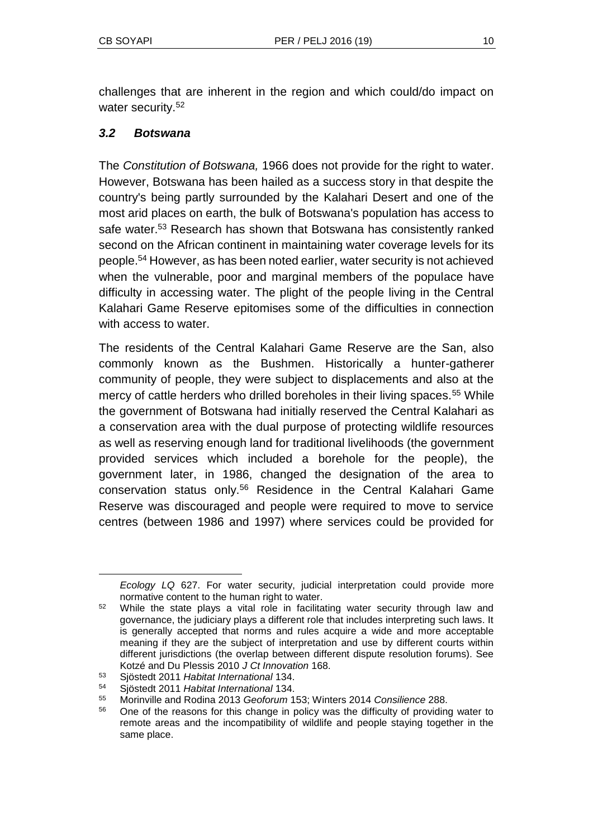challenges that are inherent in the region and which could/do impact on water security.<sup>52</sup>

### *3.2 Botswana*

The *Constitution of Botswana,* 1966 does not provide for the right to water. However, Botswana has been hailed as a success story in that despite the country's being partly surrounded by the Kalahari Desert and one of the most arid places on earth, the bulk of Botswana's population has access to safe water.<sup>53</sup> Research has shown that Botswana has consistently ranked second on the African continent in maintaining water coverage levels for its people.<sup>54</sup> However, as has been noted earlier, water security is not achieved when the vulnerable, poor and marginal members of the populace have difficulty in accessing water. The plight of the people living in the Central Kalahari Game Reserve epitomises some of the difficulties in connection with access to water.

The residents of the Central Kalahari Game Reserve are the San, also commonly known as the Bushmen. Historically a hunter-gatherer community of people, they were subject to displacements and also at the mercy of cattle herders who drilled boreholes in their living spaces.<sup>55</sup> While the government of Botswana had initially reserved the Central Kalahari as a conservation area with the dual purpose of protecting wildlife resources as well as reserving enough land for traditional livelihoods (the government provided services which included a borehole for the people), the government later, in 1986, changed the designation of the area to conservation status only.<sup>56</sup> Residence in the Central Kalahari Game Reserve was discouraged and people were required to move to service centres (between 1986 and 1997) where services could be provided for

*Ecology LQ* 627. For water security, judicial interpretation could provide more normative content to the human right to water.

<sup>&</sup>lt;sup>52</sup> While the state plays a vital role in facilitating water security through law and governance, the judiciary plays a different role that includes interpreting such laws. It is generally accepted that norms and rules acquire a wide and more acceptable meaning if they are the subject of interpretation and use by different courts within different jurisdictions (the overlap between different dispute resolution forums). See Kotzé and Du Plessis 2010 *J Ct Innovation* 168.

<sup>53</sup> Sjöstedt 2011 *Habitat International* 134.

<sup>54</sup> Sjöstedt 2011 *Habitat International* 134.

<sup>55</sup> Morinville and Rodina 2013 *Geoforum* 153; Winters 2014 *Consilience* 288.

<sup>&</sup>lt;sup>56</sup> One of the reasons for this change in policy was the difficulty of providing water to remote areas and the incompatibility of wildlife and people staying together in the same place.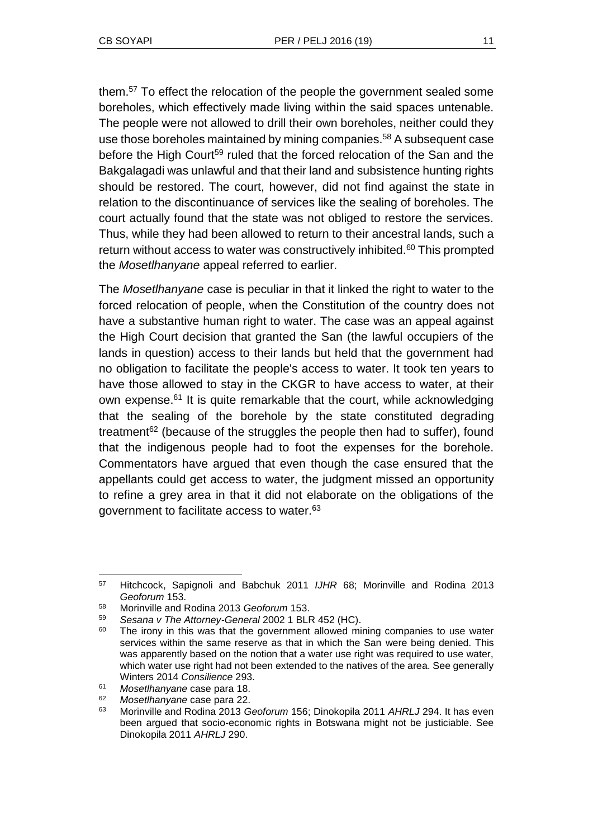them.<sup>57</sup> To effect the relocation of the people the government sealed some boreholes, which effectively made living within the said spaces untenable. The people were not allowed to drill their own boreholes, neither could they use those boreholes maintained by mining companies.<sup>58</sup> A subsequent case before the High Court<sup>59</sup> ruled that the forced relocation of the San and the Bakgalagadi was unlawful and that their land and subsistence hunting rights should be restored. The court, however, did not find against the state in relation to the discontinuance of services like the sealing of boreholes. The court actually found that the state was not obliged to restore the services. Thus, while they had been allowed to return to their ancestral lands, such a return without access to water was constructively inhibited.<sup>60</sup> This prompted the *Mosetlhanyane* appeal referred to earlier.

The *Mosetlhanyane* case is peculiar in that it linked the right to water to the forced relocation of people, when the Constitution of the country does not have a substantive human right to water. The case was an appeal against the High Court decision that granted the San (the lawful occupiers of the lands in question) access to their lands but held that the government had no obligation to facilitate the people's access to water. It took ten years to have those allowed to stay in the CKGR to have access to water, at their own expense.<sup>61</sup> It is quite remarkable that the court, while acknowledging that the sealing of the borehole by the state constituted degrading treatment<sup> $62$ </sup> (because of the struggles the people then had to suffer), found that the indigenous people had to foot the expenses for the borehole. Commentators have argued that even though the case ensured that the appellants could get access to water, the judgment missed an opportunity to refine a grey area in that it did not elaborate on the obligations of the government to facilitate access to water.<sup>63</sup>

<sup>57</sup> Hitchcock, Sapignoli and Babchuk 2011 *IJHR* 68; Morinville and Rodina 2013 *Geoforum* 153.

<sup>58</sup> Morinville and Rodina 2013 *Geoforum* 153.

<sup>59</sup> *Sesana v The Attorney-General* 2002 1 BLR 452 (HC).

<sup>&</sup>lt;sup>60</sup> The irony in this was that the government allowed mining companies to use water services within the same reserve as that in which the San were being denied. This was apparently based on the notion that a water use right was required to use water, which water use right had not been extended to the natives of the area. See generally Winters 2014 *Consilience* 293.

<sup>61</sup> *Mosetlhanyane* case para 18.

<sup>62</sup> *Mosetlhanyane* case para 22.

<sup>63</sup> Morinville and Rodina 2013 *Geoforum* 156; Dinokopila 2011 *AHRLJ* 294. It has even been argued that socio-economic rights in Botswana might not be justiciable. See Dinokopila 2011 *AHRLJ* 290.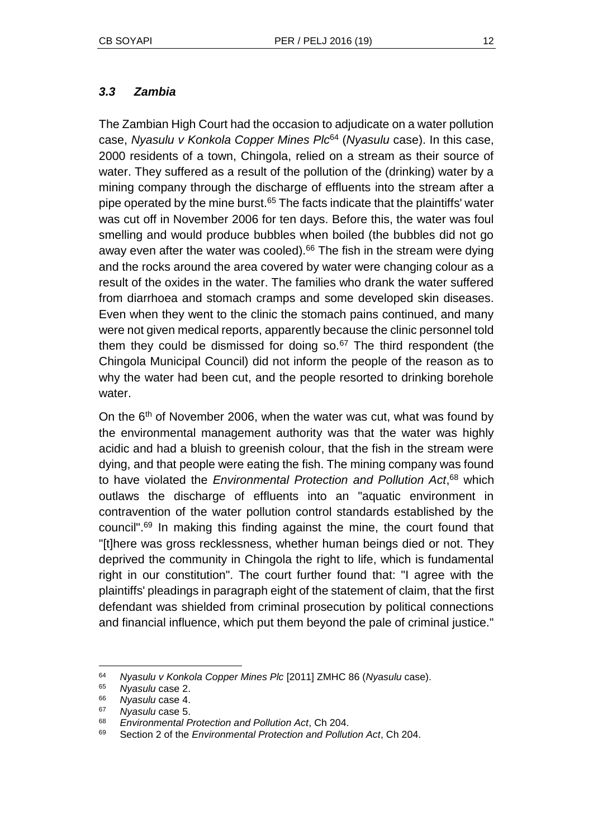### *3.3 Zambia*

The Zambian High Court had the occasion to adjudicate on a water pollution case, *Nyasulu v Konkola Copper Mines Plc*<sup>64</sup> (*Nyasulu* case). In this case, 2000 residents of a town, Chingola, relied on a stream as their source of water. They suffered as a result of the pollution of the (drinking) water by a mining company through the discharge of effluents into the stream after a pipe operated by the mine burst. $65$  The facts indicate that the plaintiffs' water was cut off in November 2006 for ten days. Before this, the water was foul smelling and would produce bubbles when boiled (the bubbles did not go away even after the water was cooled).<sup>66</sup> The fish in the stream were dying and the rocks around the area covered by water were changing colour as a result of the oxides in the water. The families who drank the water suffered from diarrhoea and stomach cramps and some developed skin diseases. Even when they went to the clinic the stomach pains continued, and many were not given medical reports, apparently because the clinic personnel told them they could be dismissed for doing so. $67$  The third respondent (the Chingola Municipal Council) did not inform the people of the reason as to why the water had been cut, and the people resorted to drinking borehole water.

On the 6<sup>th</sup> of November 2006, when the water was cut, what was found by the environmental management authority was that the water was highly acidic and had a bluish to greenish colour, that the fish in the stream were dying, and that people were eating the fish. The mining company was found to have violated the *Environmental Protection and Pollution Act*, <sup>68</sup> which outlaws the discharge of effluents into an "aquatic environment in contravention of the water pollution control standards established by the council".<sup>69</sup> In making this finding against the mine, the court found that "[t]here was gross recklessness, whether human beings died or not. They deprived the community in Chingola the right to life, which is fundamental right in our constitution". The court further found that: "I agree with the plaintiffs' pleadings in paragraph eight of the statement of claim, that the first defendant was shielded from criminal prosecution by political connections and financial influence, which put them beyond the pale of criminal justice."

<sup>64</sup> *Nyasulu v Konkola Copper Mines Plc* [2011] ZMHC 86 (*Nyasulu* case).

<sup>65</sup> *Nyasulu* case 2.

<sup>66</sup> *Nyasulu* case 4.

<sup>67</sup> *Nyasulu* case 5.

<sup>68</sup> *Environmental Protection and Pollution Act*, Ch 204.

<sup>69</sup> Section 2 of the *Environmental Protection and Pollution Act*, Ch 204.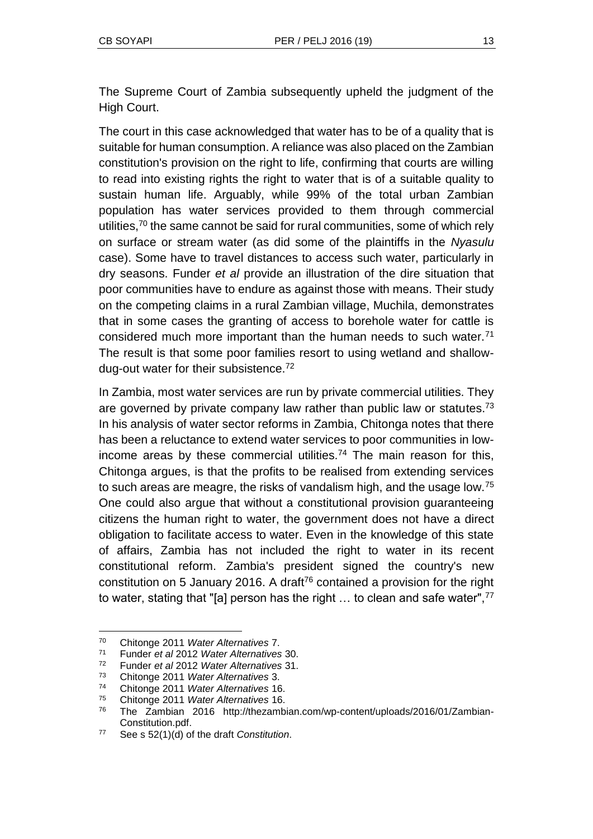The Supreme Court of Zambia subsequently upheld the judgment of the High Court.

The court in this case acknowledged that water has to be of a quality that is suitable for human consumption. A reliance was also placed on the Zambian constitution's provision on the right to life, confirming that courts are willing to read into existing rights the right to water that is of a suitable quality to sustain human life. Arguably, while 99% of the total urban Zambian population has water services provided to them through commercial utilities,  $70$  the same cannot be said for rural communities, some of which rely on surface or stream water (as did some of the plaintiffs in the *Nyasulu* case). Some have to travel distances to access such water, particularly in dry seasons. Funder *et al* provide an illustration of the dire situation that poor communities have to endure as against those with means. Their study on the competing claims in a rural Zambian village, Muchila, demonstrates that in some cases the granting of access to borehole water for cattle is considered much more important than the human needs to such water.<sup>71</sup> The result is that some poor families resort to using wetland and shallowdug-out water for their subsistence.<sup>72</sup>

In Zambia, most water services are run by private commercial utilities. They are governed by private company law rather than public law or statutes.<sup>73</sup> In his analysis of water sector reforms in Zambia, Chitonga notes that there has been a reluctance to extend water services to poor communities in lowincome areas by these commercial utilities.<sup>74</sup> The main reason for this, Chitonga argues, is that the profits to be realised from extending services to such areas are meagre, the risks of vandalism high, and the usage low.<sup>75</sup> One could also argue that without a constitutional provision guaranteeing citizens the human right to water, the government does not have a direct obligation to facilitate access to water. Even in the knowledge of this state of affairs, Zambia has not included the right to water in its recent constitutional reform. Zambia's president signed the country's new constitution on 5 January 2016. A draft<sup>76</sup> contained a provision for the right to water, stating that "[a] person has the right ... to clean and safe water",<sup>77</sup>

<sup>70</sup> Chitonge 2011 *Water Alternatives* 7.

<sup>71</sup> Funder *et al* 2012 *Water Alternatives* 30.

<sup>72</sup> Funder *et al* 2012 *Water Alternatives* 31.

<sup>73</sup> Chitonge 2011 *Water Alternatives* 3.

<sup>74</sup> Chitonge 2011 *Water Alternatives* 16.

<sup>75</sup> Chitonge 2011 *Water Alternatives* 16.

<sup>76</sup> The Zambian 2016 http://thezambian.com/wp-content/uploads/2016/01/Zambian-Constitution.pdf.

<sup>77</sup> See s 52(1)(d) of the draft *Constitution*.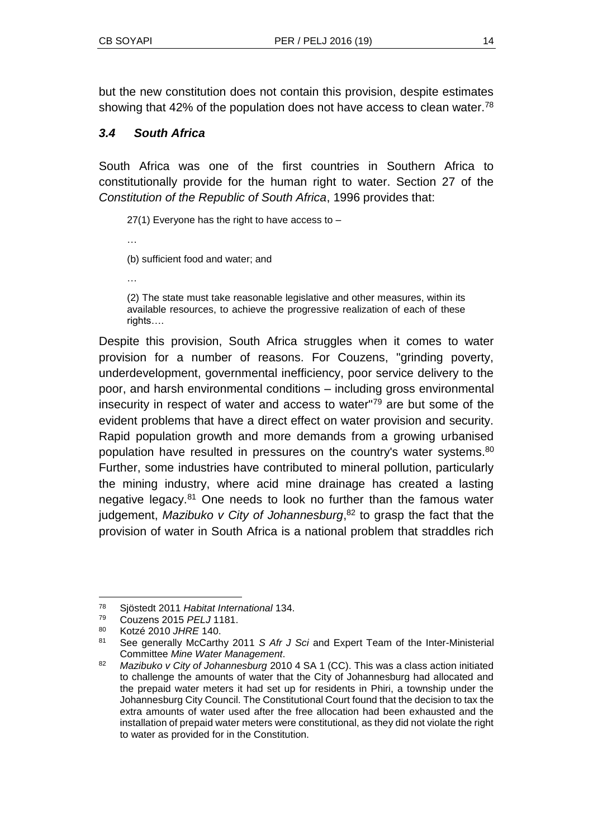but the new constitution does not contain this provision, despite estimates showing that 42% of the population does not have access to clean water.<sup>78</sup>

# *3.4 South Africa*

South Africa was one of the first countries in Southern Africa to constitutionally provide for the human right to water. Section 27 of the *Constitution of the Republic of South Africa*, 1996 provides that:

27(1) Everyone has the right to have access to –

(b) sufficient food and water; and

…

…

(2) The state must take reasonable legislative and other measures, within its available resources, to achieve the progressive realization of each of these rights….

Despite this provision, South Africa struggles when it comes to water provision for a number of reasons. For Couzens, "grinding poverty, underdevelopment, governmental inefficiency, poor service delivery to the poor, and harsh environmental conditions – including gross environmental insecurity in respect of water and access to water"<sup>79</sup> are but some of the evident problems that have a direct effect on water provision and security. Rapid population growth and more demands from a growing urbanised population have resulted in pressures on the country's water systems.<sup>80</sup> Further, some industries have contributed to mineral pollution, particularly the mining industry, where acid mine drainage has created a lasting negative legacy.<sup>81</sup> One needs to look no further than the famous water judgement, *Mazibuko v City of Johannesburg*, <sup>82</sup> to grasp the fact that the provision of water in South Africa is a national problem that straddles rich

 $\overline{a}$ <sup>78</sup> Sjöstedt 2011 *Habitat International* 134.

<sup>79</sup> Couzens 2015 *PELJ* 1181.

<sup>80</sup> Kotzé 2010 *JHRE* 140.

<sup>81</sup> See generally McCarthy 2011 *S Afr J Sci* and Expert Team of the Inter-Ministerial Committee *Mine Water Management*.

<sup>82</sup> *Mazibuko v City of Johannesburg* 2010 4 SA 1 (CC). This was a class action initiated to challenge the amounts of water that the City of Johannesburg had allocated and the prepaid water meters it had set up for residents in Phiri, a township under the Johannesburg City Council. The Constitutional Court found that the decision to tax the extra amounts of water used after the free allocation had been exhausted and the installation of prepaid water meters were constitutional, as they did not violate the right to water as provided for in the Constitution.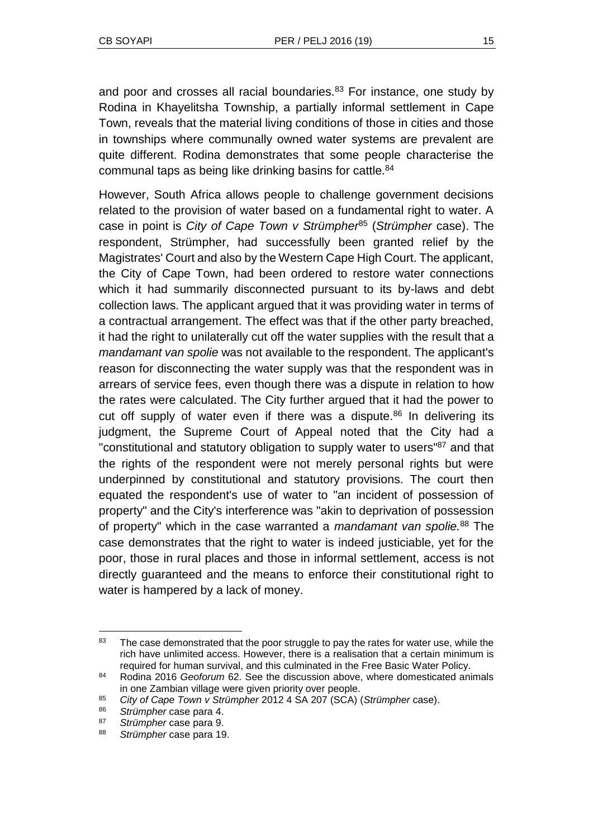and poor and crosses all racial boundaries.<sup>83</sup> For instance, one study by Rodina in Khayelitsha Township, a partially informal settlement in Cape Town, reveals that the material living conditions of those in cities and those in townships where communally owned water systems are prevalent are quite different. Rodina demonstrates that some people characterise the communal taps as being like drinking basins for cattle.<sup>84</sup>

However, South Africa allows people to challenge government decisions related to the provision of water based on a fundamental right to water. A case in point is *City of Cape Town v Strümpher*<sup>85</sup> (*Strümpher* case). The respondent, Strümpher, had successfully been granted relief by the Magistrates' Court and also by the Western Cape High Court. The applicant, the City of Cape Town, had been ordered to restore water connections which it had summarily disconnected pursuant to its by-laws and debt collection laws. The applicant argued that it was providing water in terms of a contractual arrangement. The effect was that if the other party breached, it had the right to unilaterally cut off the water supplies with the result that a *mandamant van spolie* was not available to the respondent. The applicant's reason for disconnecting the water supply was that the respondent was in arrears of service fees, even though there was a dispute in relation to how the rates were calculated. The City further argued that it had the power to cut off supply of water even if there was a dispute.<sup>86</sup> In delivering its judgment, the Supreme Court of Appeal noted that the City had a "constitutional and statutory obligation to supply water to users"<sup>87</sup> and that the rights of the respondent were not merely personal rights but were underpinned by constitutional and statutory provisions. The court then equated the respondent's use of water to "an incident of possession of property" and the City's interference was "akin to deprivation of possession of property" which in the case warranted a *mandamant van spolie.*<sup>88</sup> The case demonstrates that the right to water is indeed justiciable, yet for the poor, those in rural places and those in informal settlement, access is not directly guaranteed and the means to enforce their constitutional right to water is hampered by a lack of money.

l <sup>83</sup> The case demonstrated that the poor struggle to pay the rates for water use, while the rich have unlimited access. However, there is a realisation that a certain minimum is required for human survival, and this culminated in the Free Basic Water Policy.

<sup>84</sup> Rodina 2016 *Geoforum* 62. See the discussion above, where domesticated animals in one Zambian village were given priority over people.

<sup>85</sup> *City of Cape Town v Strümpher* 2012 4 SA 207 (SCA) (*Strümpher* case).

<sup>86</sup> *Strümpher* case para 4.

<sup>87</sup> *Strümpher* case para 9.

<sup>88</sup> *Strümpher* case para 19.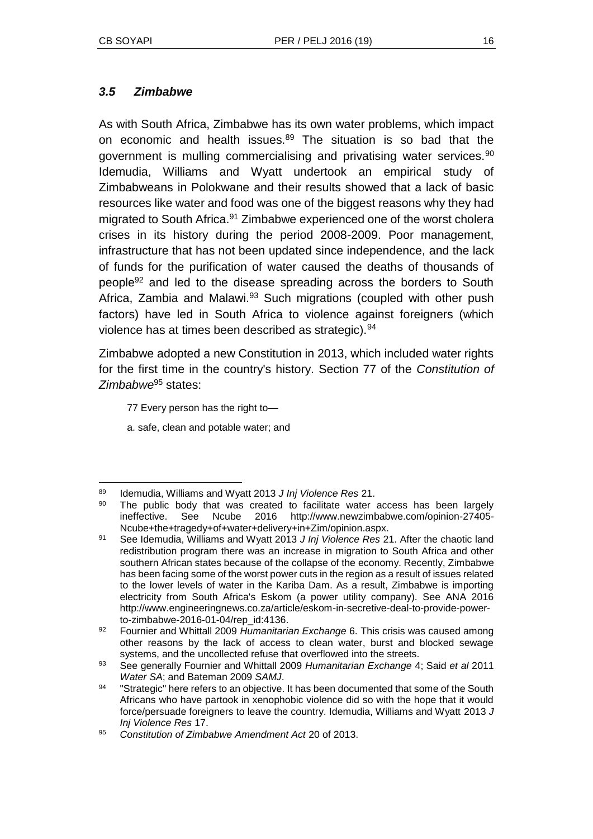#### *3.5 Zimbabwe*

As with South Africa, Zimbabwe has its own water problems, which impact on economic and health issues.<sup>89</sup> The situation is so bad that the government is mulling commercialising and privatising water services.<sup>90</sup> Idemudia, Williams and Wyatt undertook an empirical study of Zimbabweans in Polokwane and their results showed that a lack of basic resources like water and food was one of the biggest reasons why they had migrated to South Africa.<sup>91</sup> Zimbabwe experienced one of the worst cholera crises in its history during the period 2008-2009. Poor management, infrastructure that has not been updated since independence, and the lack of funds for the purification of water caused the deaths of thousands of people<sup>92</sup> and led to the disease spreading across the borders to South Africa, Zambia and Malawi.<sup>93</sup> Such migrations (coupled with other push factors) have led in South Africa to violence against foreigners (which violence has at times been described as strategic).<sup>94</sup>

Zimbabwe adopted a new Constitution in 2013, which included water rights for the first time in the country's history. Section 77 of the *Constitution of Zimbabwe*<sup>95</sup> states:

77 Every person has the right to—

a. safe, clean and potable water; and

l <sup>89</sup> Idemudia, Williams and Wyatt 2013 *J Inj Violence Res* 21.

<sup>90</sup> The public body that was created to facilitate water access has been largely ineffective. See Ncube 2016 http://www.newzimbabwe.com/opinion-27405- Ncube+the+tragedy+of+water+delivery+in+Zim/opinion.aspx.

<sup>91</sup> See Idemudia, Williams and Wyatt 2013 *J Inj Violence Res* 21. After the chaotic land redistribution program there was an increase in migration to South Africa and other southern African states because of the collapse of the economy. Recently, Zimbabwe has been facing some of the worst power cuts in the region as a result of issues related to the lower levels of water in the Kariba Dam. As a result, Zimbabwe is importing electricity from South Africa's Eskom (a power utility company). See ANA 2016 http://www.engineeringnews.co.za/article/eskom-in-secretive-deal-to-provide-powerto-zimbabwe-2016-01-04/rep\_id:4136.

<sup>92</sup> Fournier and Whittall 2009 *Humanitarian Exchange* 6. This crisis was caused among other reasons by the lack of access to clean water, burst and blocked sewage systems, and the uncollected refuse that overflowed into the streets.

<sup>93</sup> See generally Fournier and Whittall 2009 *Humanitarian Exchange* 4; Said *et al* 2011 *Water SA*; and Bateman 2009 *SAMJ*.

<sup>&</sup>lt;sup>94</sup> "Strategic" here refers to an objective. It has been documented that some of the South Africans who have partook in xenophobic violence did so with the hope that it would force/persuade foreigners to leave the country. Idemudia, Williams and Wyatt 2013 *J Inj Violence Res* 17.

<sup>95</sup> *Constitution of Zimbabwe Amendment Act* 20 of 2013.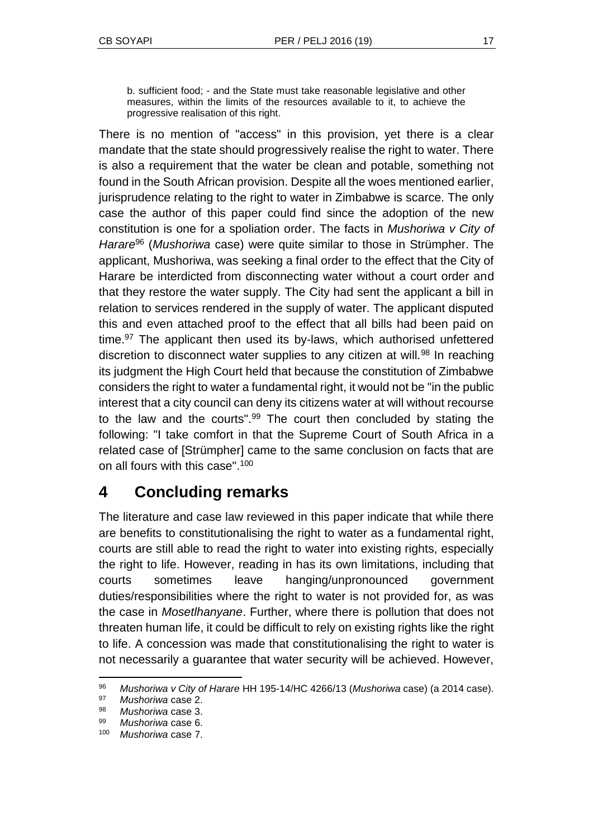b. sufficient food; - and the State must take reasonable legislative and other measures, within the limits of the resources available to it, to achieve the progressive realisation of this right.

There is no mention of "access" in this provision, yet there is a clear mandate that the state should progressively realise the right to water. There is also a requirement that the water be clean and potable, something not found in the South African provision. Despite all the woes mentioned earlier, jurisprudence relating to the right to water in Zimbabwe is scarce. The only case the author of this paper could find since the adoption of the new constitution is one for a spoliation order. The facts in *Mushoriwa v City of Harare*<sup>96</sup> (*Mushoriwa* case) were quite similar to those in Strümpher. The applicant, Mushoriwa, was seeking a final order to the effect that the City of Harare be interdicted from disconnecting water without a court order and that they restore the water supply. The City had sent the applicant a bill in relation to services rendered in the supply of water. The applicant disputed this and even attached proof to the effect that all bills had been paid on time.<sup>97</sup> The applicant then used its by-laws, which authorised unfettered discretion to disconnect water supplies to any citizen at will.<sup>98</sup> In reaching its judgment the High Court held that because the constitution of Zimbabwe considers the right to water a fundamental right, it would not be "in the public interest that a city council can deny its citizens water at will without recourse to the law and the courts".<sup>99</sup> The court then concluded by stating the following: "I take comfort in that the Supreme Court of South Africa in a related case of [Strümpher] came to the same conclusion on facts that are on all fours with this case".<sup>100</sup>

# **4 Concluding remarks**

The literature and case law reviewed in this paper indicate that while there are benefits to constitutionalising the right to water as a fundamental right, courts are still able to read the right to water into existing rights, especially the right to life. However, reading in has its own limitations, including that courts sometimes leave hanging/unpronounced government duties/responsibilities where the right to water is not provided for, as was the case in *Mosetlhanyane*. Further, where there is pollution that does not threaten human life, it could be difficult to rely on existing rights like the right to life. A concession was made that constitutionalising the right to water is not necessarily a guarantee that water security will be achieved. However,

<sup>96</sup> *Mushoriwa v City of Harare* HH 195-14/HC 4266/13 (*Mushoriwa* case) (a 2014 case).

<sup>97</sup> *Mushoriwa* case 2.

<sup>98</sup> *Mushoriwa* case 3.

<sup>99</sup> *Mushoriwa* case 6.

<sup>100</sup> *Mushoriwa* case 7.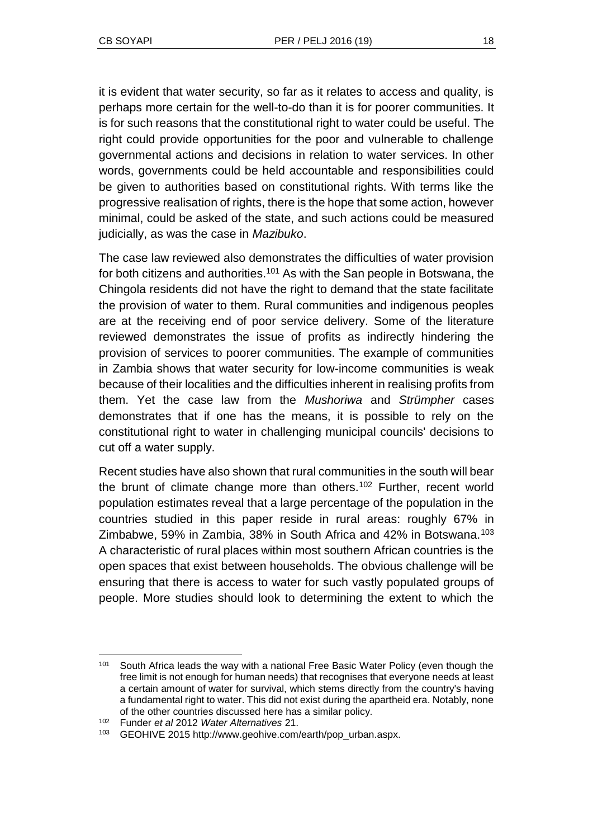it is evident that water security, so far as it relates to access and quality, is perhaps more certain for the well-to-do than it is for poorer communities. It is for such reasons that the constitutional right to water could be useful. The right could provide opportunities for the poor and vulnerable to challenge governmental actions and decisions in relation to water services. In other words, governments could be held accountable and responsibilities could be given to authorities based on constitutional rights. With terms like the progressive realisation of rights, there is the hope that some action, however minimal, could be asked of the state, and such actions could be measured judicially, as was the case in *Mazibuko*.

The case law reviewed also demonstrates the difficulties of water provision for both citizens and authorities.<sup>101</sup> As with the San people in Botswana, the Chingola residents did not have the right to demand that the state facilitate the provision of water to them. Rural communities and indigenous peoples are at the receiving end of poor service delivery. Some of the literature reviewed demonstrates the issue of profits as indirectly hindering the provision of services to poorer communities. The example of communities in Zambia shows that water security for low-income communities is weak because of their localities and the difficulties inherent in realising profits from them. Yet the case law from the *Mushoriwa* and *Strümpher* cases demonstrates that if one has the means, it is possible to rely on the constitutional right to water in challenging municipal councils' decisions to cut off a water supply.

Recent studies have also shown that rural communities in the south will bear the brunt of climate change more than others.<sup>102</sup> Further, recent world population estimates reveal that a large percentage of the population in the countries studied in this paper reside in rural areas: roughly 67% in Zimbabwe, 59% in Zambia, 38% in South Africa and 42% in Botswana.<sup>103</sup> A characteristic of rural places within most southern African countries is the open spaces that exist between households. The obvious challenge will be ensuring that there is access to water for such vastly populated groups of people. More studies should look to determining the extent to which the

l <sup>101</sup> South Africa leads the way with a national Free Basic Water Policy (even though the free limit is not enough for human needs) that recognises that everyone needs at least a certain amount of water for survival, which stems directly from the country's having a fundamental right to water. This did not exist during the apartheid era. Notably, none of the other countries discussed here has a similar policy.

<sup>102</sup> Funder *et al* 2012 *Water Alternatives* 21.

<sup>103</sup> GEOHIVE 2015 http://www.geohive.com/earth/pop\_urban.aspx.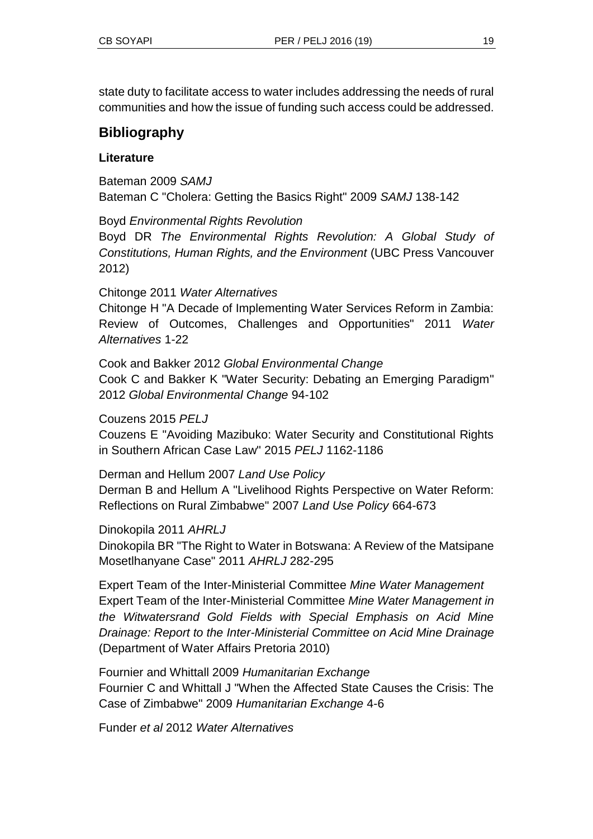state duty to facilitate access to water includes addressing the needs of rural communities and how the issue of funding such access could be addressed.

# **Bibliography**

### **Literature**

Bateman 2009 *SAMJ* Bateman C "Cholera: Getting the Basics Right" 2009 *SAMJ* 138-142

Boyd *Environmental Rights Revolution*

Boyd DR *The Environmental Rights Revolution: A Global Study of Constitutions, Human Rights, and the Environment* (UBC Press Vancouver 2012)

Chitonge 2011 *Water Alternatives*

Chitonge H "A Decade of Implementing Water Services Reform in Zambia: Review of Outcomes, Challenges and Opportunities" 2011 *Water Alternatives* 1-22

Cook and Bakker 2012 *Global Environmental Change* Cook C and Bakker K "Water Security: Debating an Emerging Paradigm" 2012 *Global Environmental Change* 94-102

Couzens 2015 *PELJ* 

Couzens E "Avoiding Mazibuko: Water Security and Constitutional Rights in Southern African Case Law" 2015 *PELJ* 1162-1186

Derman and Hellum 2007 *Land Use Policy* Derman B and Hellum A "Livelihood Rights Perspective on Water Reform: Reflections on Rural Zimbabwe" 2007 *Land Use Policy* 664-673

Dinokopila 2011 *AHRLJ* Dinokopila BR "The Right to Water in Botswana: A Review of the Matsipane Mosetlhanyane Case" 2011 *AHRLJ* 282-295

Expert Team of the Inter-Ministerial Committee *Mine Water Management* Expert Team of the Inter-Ministerial Committee *Mine Water Management in the Witwatersrand Gold Fields with Special Emphasis on Acid Mine Drainage: Report to the Inter-Ministerial Committee on Acid Mine Drainage*  (Department of Water Affairs Pretoria 2010)

Fournier and Whittall 2009 *Humanitarian Exchange* Fournier C and Whittall J "When the Affected State Causes the Crisis: The Case of Zimbabwe" 2009 *Humanitarian Exchange* 4-6

Funder *et al* 2012 *Water Alternatives*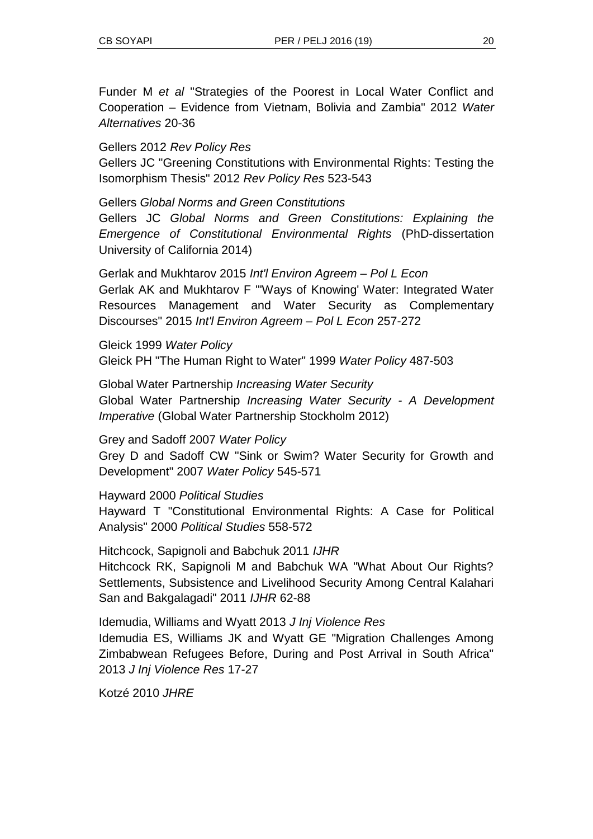Funder M *et al* "Strategies of the Poorest in Local Water Conflict and Cooperation – Evidence from Vietnam, Bolivia and Zambia" 2012 *Water Alternatives* 20-36

#### Gellers 2012 *Rev Policy Res*

Gellers JC "Greening Constitutions with Environmental Rights: Testing the Isomorphism Thesis" 2012 *Rev Policy Res* 523-543

#### Gellers *Global Norms and Green Constitutions*

Gellers JC *Global Norms and Green Constitutions: Explaining the Emergence of Constitutional Environmental Rights* (PhD-dissertation University of California 2014)

Gerlak and Mukhtarov 2015 *Int'l Environ Agreem – Pol L Econ* Gerlak AK and Mukhtarov F "'Ways of Knowing' Water: Integrated Water Resources Management and Water Security as Complementary Discourses" 2015 *Int'l Environ Agreem – Pol L Econ* 257-272

Gleick 1999 *Water Policy* Gleick PH "The Human Right to Water" 1999 *Water Policy* 487-503

Global Water Partnership *Increasing Water Security* Global Water Partnership *Increasing Water Security - A Development Imperative* (Global Water Partnership Stockholm 2012)

Grey and Sadoff 2007 *Water Policy*

Grey D and Sadoff CW "Sink or Swim? Water Security for Growth and Development" 2007 *Water Policy* 545-571

Hayward 2000 *Political Studies* Hayward T "Constitutional Environmental Rights: A Case for Political Analysis" 2000 *Political Studies* 558-572

Hitchcock, Sapignoli and Babchuk 2011 *IJHR* Hitchcock RK, Sapignoli M and Babchuk WA "What About Our Rights? Settlements, Subsistence and Livelihood Security Among Central Kalahari San and Bakgalagadi" 2011 *IJHR* 62-88

Idemudia, Williams and Wyatt 2013 *J Inj Violence Res*

Idemudia ES, Williams JK and Wyatt GE "Migration Challenges Among Zimbabwean Refugees Before, During and Post Arrival in South Africa" 2013 *J Inj Violence Res* 17-27

Kotzé 2010 *JHRE*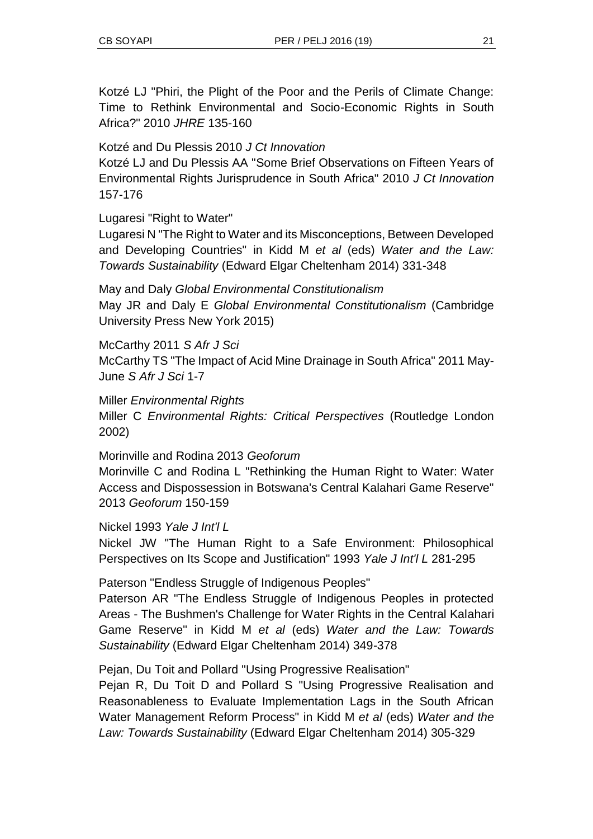Kotzé LJ "Phiri, the Plight of the Poor and the Perils of Climate Change: Time to Rethink Environmental and Socio-Economic Rights in South Africa?" 2010 *JHRE* 135-160

Kotzé and Du Plessis 2010 *J Ct Innovation*

Kotzé LJ and Du Plessis AA "Some Brief Observations on Fifteen Years of Environmental Rights Jurisprudence in South Africa" 2010 *J Ct Innovation*  157-176

Lugaresi "Right to Water"

Lugaresi N "The Right to Water and its Misconceptions, Between Developed and Developing Countries" in Kidd M *et al* (eds) *Water and the Law: Towards Sustainability* (Edward Elgar Cheltenham 2014) 331-348

May and Daly *Global Environmental Constitutionalism* May JR and Daly E *Global Environmental Constitutionalism* (Cambridge University Press New York 2015)

McCarthy 2011 *S Afr J Sci*

McCarthy TS "The Impact of Acid Mine Drainage in South Africa" 2011 May-June *S Afr J Sci* 1-7

Miller *Environmental Rights*

Miller C *Environmental Rights: Critical Perspectives* (Routledge London 2002)

Morinville and Rodina 2013 *Geoforum*

Morinville C and Rodina L "Rethinking the Human Right to Water: Water Access and Dispossession in Botswana's Central Kalahari Game Reserve" 2013 *Geoforum* 150-159

Nickel 1993 *Yale J Int'l L*

Nickel JW "The Human Right to a Safe Environment: Philosophical Perspectives on Its Scope and Justification" 1993 *Yale J Int'l L* 281-295

Paterson "Endless Struggle of Indigenous Peoples"

Paterson AR "The Endless Struggle of Indigenous Peoples in protected Areas - The Bushmen's Challenge for Water Rights in the Central Kalahari Game Reserve" in Kidd M *et al* (eds) *Water and the Law: Towards Sustainability* (Edward Elgar Cheltenham 2014) 349-378

Pejan, Du Toit and Pollard "Using Progressive Realisation"

Pejan R, Du Toit D and Pollard S "Using Progressive Realisation and Reasonableness to Evaluate Implementation Lags in the South African Water Management Reform Process" in Kidd M *et al* (eds) *Water and the Law: Towards Sustainability* (Edward Elgar Cheltenham 2014) 305-329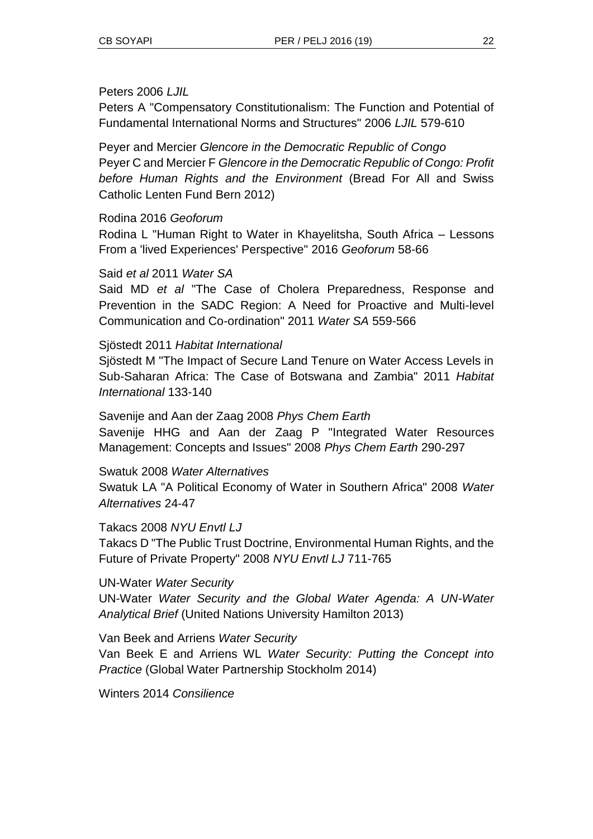#### Peters 2006 *LJIL*

Peters A "Compensatory Constitutionalism: The Function and Potential of Fundamental International Norms and Structures" 2006 *LJIL* 579-610

Peyer and Mercier *Glencore in the Democratic Republic of Congo* Peyer C and Mercier F *Glencore in the Democratic Republic of Congo: Profit before Human Rights and the Environment* (Bread For All and Swiss Catholic Lenten Fund Bern 2012)

#### Rodina 2016 *Geoforum*

Rodina L "Human Right to Water in Khayelitsha, South Africa – Lessons From a 'lived Experiences' Perspective" 2016 *Geoforum* 58-66

#### Said *et al* 2011 *Water SA*

Said MD *et al* "The Case of Cholera Preparedness, Response and Prevention in the SADC Region: A Need for Proactive and Multi-level Communication and Co-ordination" 2011 *Water SA* 559-566

#### Sjöstedt 2011 *Habitat International*

Sjöstedt M "The Impact of Secure Land Tenure on Water Access Levels in Sub-Saharan Africa: The Case of Botswana and Zambia" 2011 *Habitat International* 133-140

Savenije and Aan der Zaag 2008 *Phys Chem Earth* Savenije HHG and Aan der Zaag P "Integrated Water Resources Management: Concepts and Issues" 2008 *Phys Chem Earth* 290-297

#### Swatuk 2008 *Water Alternatives*

Swatuk LA "A Political Economy of Water in Southern Africa" 2008 *Water Alternatives* 24‐47

Takacs 2008 *NYU Envtl LJ*

Takacs D "The Public Trust Doctrine, Environmental Human Rights, and the Future of Private Property" 2008 *NYU Envtl LJ* 711-765

UN-Water *Water Security*

UN-Water *Water Security and the Global Water Agenda: A UN-Water Analytical Brief* (United Nations University Hamilton 2013)

Van Beek and Arriens *Water Security*

Van Beek E and Arriens WL *Water Security: Putting the Concept into Practice* (Global Water Partnership Stockholm 2014)

Winters 2014 *Consilience*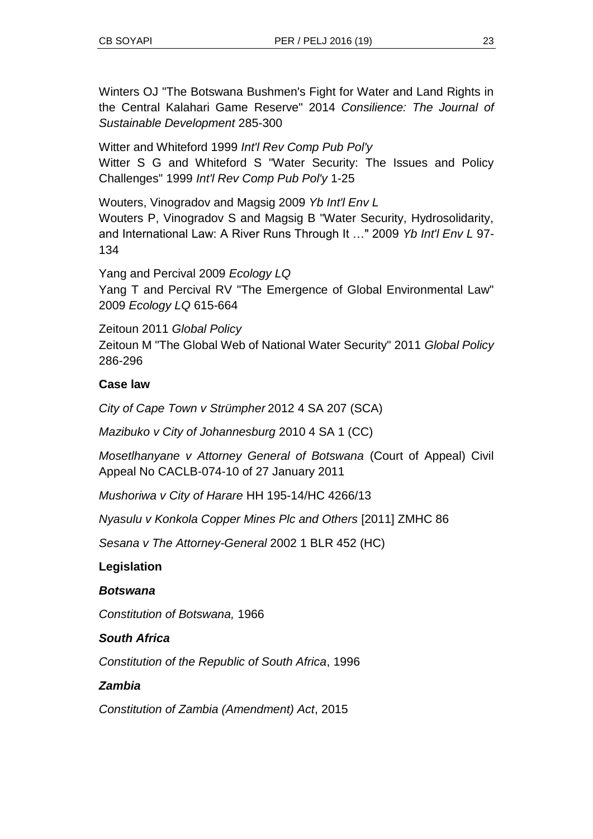Winters OJ "The Botswana Bushmen's Fight for Water and Land Rights in the Central Kalahari Game Reserve" 2014 *Consilience: The Journal of Sustainable Development* 285-300

Witter and Whiteford 1999 *Int'l Rev Comp Pub Pol'y* Witter S G and Whiteford S "Water Security: The Issues and Policy Challenges" 1999 *Int'l Rev Comp Pub Pol'y* 1-25

Wouters, Vinogradov and Magsig 2009 *Yb Int'l Env L* Wouters P, Vinogradov S and Magsig B "Water Security, Hydrosolidarity, and International Law: A River Runs Through It …" 2009 *Yb Int'l Env L* 97- 134

Yang and Percival 2009 *Ecology LQ*  Yang T and Percival RV "The Emergence of Global Environmental Law" 2009 *Ecology LQ* 615-664

Zeitoun 2011 *Global Policy* Zeitoun M "The Global Web of National Water Security" 2011 *Global Policy* 286-296

# **Case law**

*City of Cape Town v Strümpher* 2012 4 SA 207 (SCA)

*Mazibuko v City of Johannesburg* 2010 4 SA 1 (CC)

*Mosetlhanyane v Attorney General of Botswana* (Court of Appeal) Civil Appeal No CACLB-074-10 of 27 January 2011

*Mushoriwa v City of Harare* HH 195-14/HC 4266/13

*Nyasulu v Konkola Copper Mines Plc and Others* [2011] ZMHC 86

*Sesana v The Attorney-General* 2002 1 BLR 452 (HC)

#### **Legislation**

#### *Botswana*

*Constitution of Botswana,* 1966

#### *South Africa*

*Constitution of the Republic of South Africa*, 1996

#### *Zambia*

*Constitution of Zambia (Amendment) Act*, 2015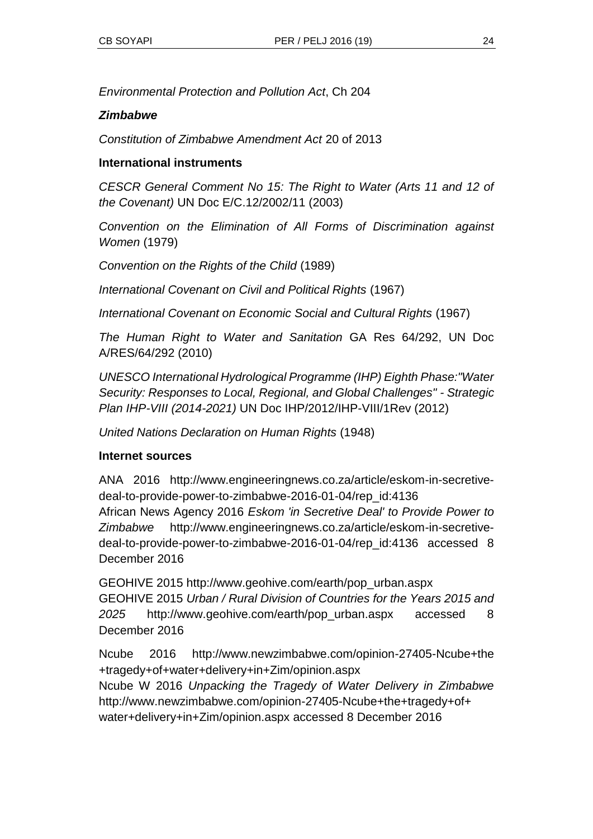*Environmental Protection and Pollution Act*, Ch 204

#### *Zimbabwe*

*Constitution of Zimbabwe Amendment Act* 20 of 2013

#### **International instruments**

*CESCR General Comment No 15: The Right to Water (Arts 11 and 12 of the Covenant)* UN Doc E/C.12/2002/11 (2003)

*Convention on the Elimination of All Forms of Discrimination against Women* (1979)

*Convention on the Rights of the Child* (1989)

*International Covenant on Civil and Political Rights* (1967)

*International Covenant on Economic Social and Cultural Rights* (1967)

*The Human Right to Water and Sanitation* GA Res 64/292, UN Doc A/RES/64/292 (2010)

*UNESCO International Hydrological Programme (IHP) Eighth Phase:"Water Security: Responses to Local, Regional, and Global Challenges" - Strategic Plan IHP-VIII (2014-2021)* UN Doc IHP/2012/IHP-VIII/1Rev (2012)

*United Nations Declaration on Human Rights* (1948)

#### **Internet sources**

ANA 2016 http://www.engineeringnews.co.za/article/eskom-in-secretivedeal-to-provide-power-to-zimbabwe-2016-01-04/rep\_id:4136 African News Agency 2016 *Eskom 'in Secretive Deal' to Provide Power to Zimbabwe* http://www.engineeringnews.co.za/article/eskom-in-secretivedeal-to-provide-power-to-zimbabwe-2016-01-04/rep\_id:4136 accessed 8 December 2016

GEOHIVE 2015 http://www.geohive.com/earth/pop\_urban.aspx GEOHIVE 2015 *Urban / Rural Division of Countries for the Years 2015 and 2025* http://www.geohive.com/earth/pop\_urban.aspx accessed 8 December 2016

Ncube 2016 http://www.newzimbabwe.com/opinion-27405-Ncube+the +tragedy+of+water+delivery+in+Zim/opinion.aspx Ncube W 2016 *Unpacking the Tragedy of Water Delivery in Zimbabwe*  http://www.newzimbabwe.com/opinion-27405-Ncube+the+tragedy+of+ water+delivery+in+Zim/opinion.aspx accessed 8 December 2016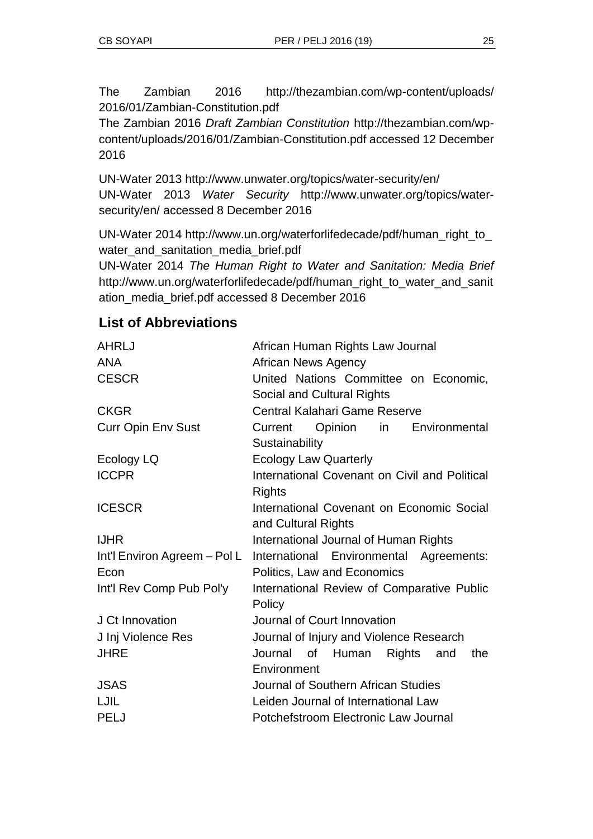The Zambian 2016 http://thezambian.com/wp-content/uploads/ 2016/01/Zambian-Constitution.pdf

The Zambian 2016 *Draft Zambian Constitution* http://thezambian.com/wpcontent/uploads/2016/01/Zambian-Constitution.pdf accessed 12 December 2016

UN-Water 2013 http://www.unwater.org/topics/water-security/en/ UN-Water 2013 *Water Security* http://www.unwater.org/topics/watersecurity/en/ accessed 8 December 2016

UN-Water 2014 http://www.un.org/waterforlifedecade/pdf/human\_right\_to\_ water\_and\_sanitation\_media\_brief.pdf

UN-Water 2014 *The Human Right to Water and Sanitation: Media Brief* http://www.un.org/waterforlifedecade/pdf/human\_right\_to\_water\_and\_sanit ation\_media\_brief.pdf accessed 8 December 2016

# **List of Abbreviations**

| <b>AHRLJ</b>                 | African Human Rights Law Journal              |
|------------------------------|-----------------------------------------------|
| <b>ANA</b>                   | <b>African News Agency</b>                    |
| <b>CESCR</b>                 | United Nations Committee on Economic,         |
|                              | Social and Cultural Rights                    |
| <b>CKGR</b>                  | Central Kalahari Game Reserve                 |
| <b>Curr Opin Env Sust</b>    | in<br>Current<br>Opinion<br>Environmental     |
|                              | Sustainability                                |
| Ecology LQ                   | <b>Ecology Law Quarterly</b>                  |
| <b>ICCPR</b>                 | International Covenant on Civil and Political |
|                              | <b>Rights</b>                                 |
| <b>ICESCR</b>                | International Covenant on Economic Social     |
|                              | and Cultural Rights                           |
| <b>IJHR</b>                  | International Journal of Human Rights         |
| Int'l Environ Agreem - Pol L | International Environmental Agreements:       |
| Econ                         | Politics, Law and Economics                   |
| Int'l Rev Comp Pub Pol'y     | International Review of Comparative Public    |
|                              | Policy                                        |
| J Ct Innovation              | Journal of Court Innovation                   |
| J Inj Violence Res           | Journal of Injury and Violence Research       |
| <b>JHRE</b>                  | Journal of Human<br>Rights<br>the<br>and      |
|                              | Environment                                   |
| <b>JSAS</b>                  | Journal of Southern African Studies           |
|                              |                                               |
| LJIL                         | Leiden Journal of International Law           |